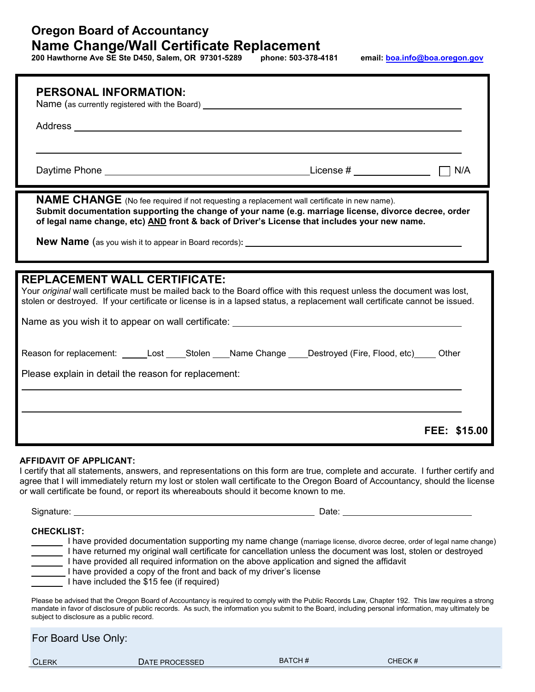# **Oregon Board of Accountancy Name Change/Wall Certificate Replacement**

**200 Hawthorne Ave SE Ste D450, Salem, OR 97301-5289 phone: 503-378-4181 email: bo[a.info@boa.oregon.gov](http://oregon.gov/boa/)**

| <b>PERSONAL INFORMATION:</b><br>Name (as currently registered with the Board) ___________________________________                                                                                                                                                                                                                                                                                                                                                                 |
|-----------------------------------------------------------------------------------------------------------------------------------------------------------------------------------------------------------------------------------------------------------------------------------------------------------------------------------------------------------------------------------------------------------------------------------------------------------------------------------|
|                                                                                                                                                                                                                                                                                                                                                                                                                                                                                   |
|                                                                                                                                                                                                                                                                                                                                                                                                                                                                                   |
|                                                                                                                                                                                                                                                                                                                                                                                                                                                                                   |
| NAME CHANGE (No fee required if not requesting a replacement wall certificate in new name).<br>Submit documentation supporting the change of your name (e.g. marriage license, divorce decree, order<br>of legal name change, etc) AND front & back of Driver's License that includes your new name.                                                                                                                                                                              |
| <b>New Name</b> (as you wish it to appear in Board records):                                                                                                                                                                                                                                                                                                                                                                                                                      |
|                                                                                                                                                                                                                                                                                                                                                                                                                                                                                   |
| <b>REPLACEMENT WALL CERTIFICATE:</b><br>Your original wall certificate must be mailed back to the Board office with this request unless the document was lost,<br>stolen or destroyed. If your certificate or license is in a lapsed status, a replacement wall certificate cannot be issued.                                                                                                                                                                                     |
| Name as you wish it to appear on wall certificate: _____________________________                                                                                                                                                                                                                                                                                                                                                                                                  |
|                                                                                                                                                                                                                                                                                                                                                                                                                                                                                   |
| Reason for replacement: ______Lost _____Stolen ____Name Change ____Destroyed (Fire, Flood, etc) _____ Other                                                                                                                                                                                                                                                                                                                                                                       |
| Please explain in detail the reason for replacement:                                                                                                                                                                                                                                                                                                                                                                                                                              |
|                                                                                                                                                                                                                                                                                                                                                                                                                                                                                   |
|                                                                                                                                                                                                                                                                                                                                                                                                                                                                                   |
| FEE: \$15.00                                                                                                                                                                                                                                                                                                                                                                                                                                                                      |
| AFFIDAVIT OF APPLICANT:<br>I certify that all statements, answers, and representations on this form are true, complete and accurate. I further certify and<br>agree that I will immediately return my lost or stolen wall certificate to the Oregon Board of Accountancy, should the license<br>or wall certificate be found, or report its whereabouts should it become known to me.                                                                                             |
|                                                                                                                                                                                                                                                                                                                                                                                                                                                                                   |
| <b>CHECKLIST:</b><br>I have provided documentation supporting my name change (marriage license, divorce decree, order of legal name change)<br>I have returned my original wall certificate for cancellation unless the document was lost, stolen or destroyed<br>I have provided all required information on the above application and signed the affidavit<br>I have provided a copy of the front and back of my driver's license<br>I have included the \$15 fee (if required) |
| Please be advised that the Oregon Board of Accountancy is required to comply with the Public Records Law, Chapter 192. This law requires a strong<br>mandate in favor of disclosure of public records. As such, the information you submit to the Board, including personal information, may ultimately be<br>subject to disclosure as a public record.                                                                                                                           |

For Board Use Only: CLERK DATE PROCESSED BATCH # CHECK #